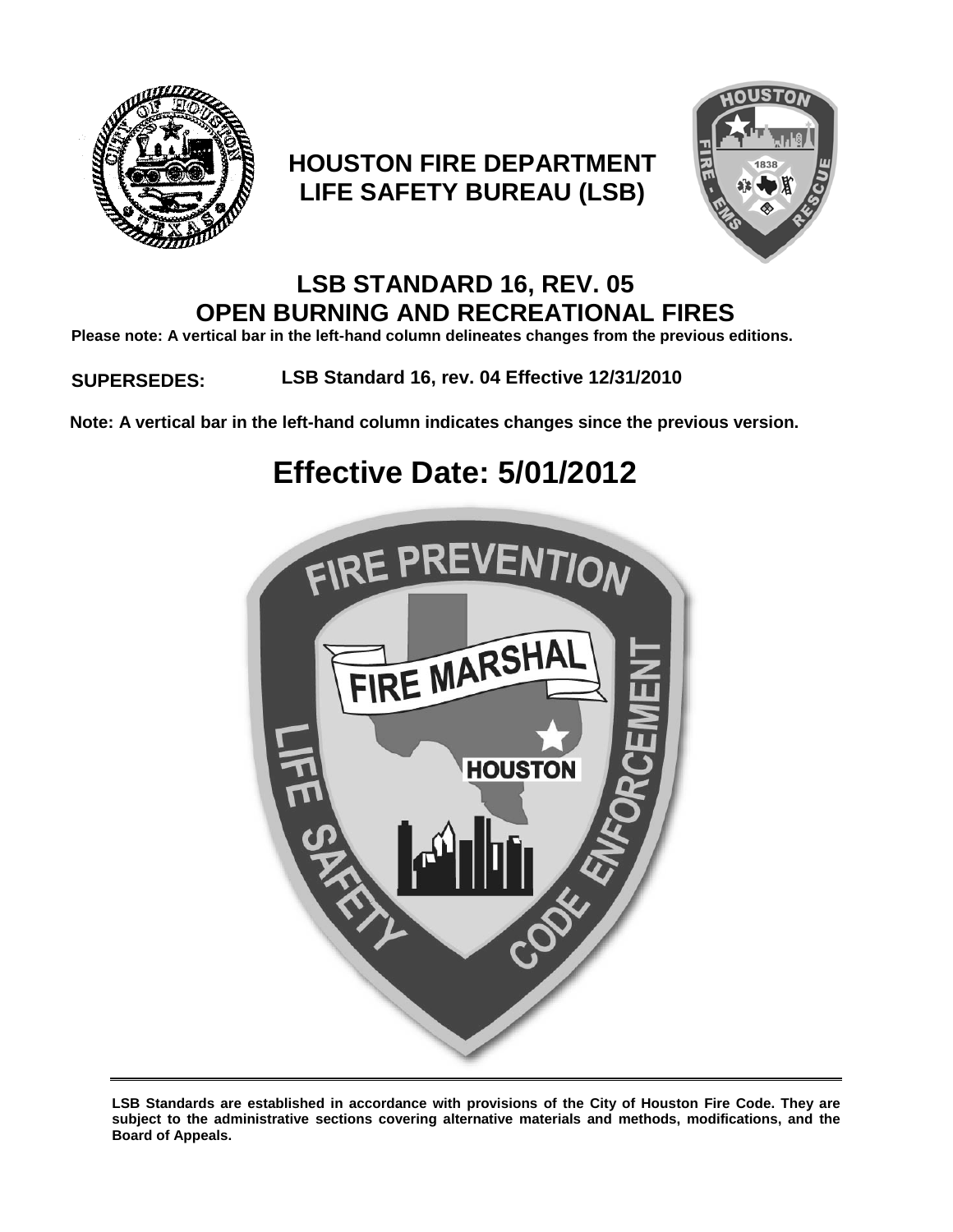

# **HOUSTON FIRE DEPARTMENT LIFE SAFETY BUREAU (LSB)**



## **LSB STANDARD 16, REV. 05 OPEN BURNING AND RECREATIONAL FIRES**

**Please note: A vertical bar in the left-hand column delineates changes from the previous editions.**

## **SUPERSEDES: LSB Standard 16, rev. 04 Effective 12/31/2010**

**Note: A vertical bar in the left-hand column indicates changes since the previous version.**

# **Effective Date: 5/01/2012**



**LSB Standards are established in accordance with provisions of the City of Houston Fire Code. They are subject to the administrative sections covering alternative materials and methods, modifications, and the Board of Appeals.**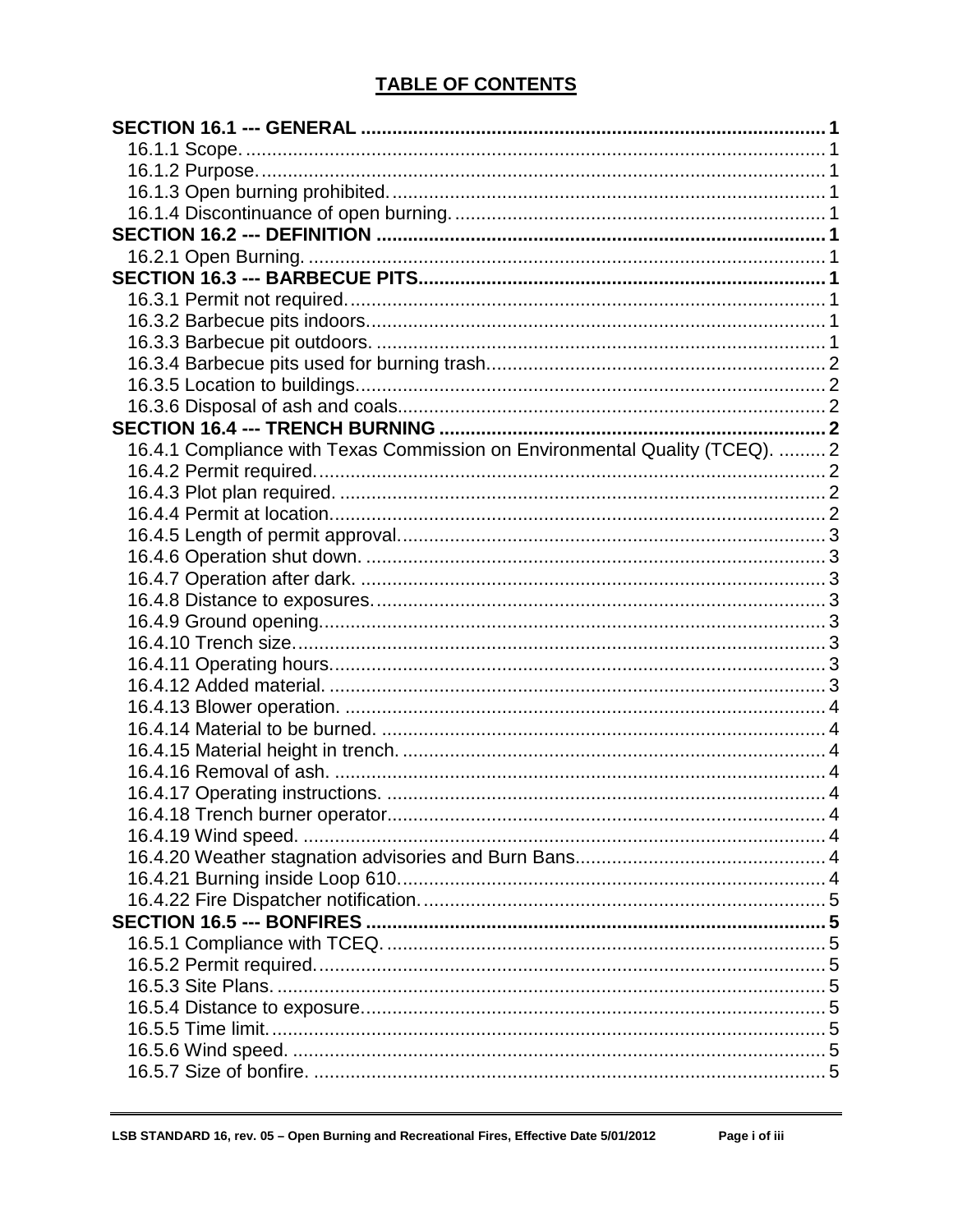## **TABLE OF CONTENTS**

| 16.4.1 Compliance with Texas Commission on Environmental Quality (TCEQ).  2 |  |
|-----------------------------------------------------------------------------|--|
|                                                                             |  |
|                                                                             |  |
|                                                                             |  |
|                                                                             |  |
|                                                                             |  |
|                                                                             |  |
|                                                                             |  |
|                                                                             |  |
|                                                                             |  |
|                                                                             |  |
|                                                                             |  |
|                                                                             |  |
|                                                                             |  |
|                                                                             |  |
|                                                                             |  |
|                                                                             |  |
|                                                                             |  |
|                                                                             |  |
|                                                                             |  |
|                                                                             |  |
|                                                                             |  |
|                                                                             |  |
|                                                                             |  |
|                                                                             |  |
|                                                                             |  |
|                                                                             |  |
|                                                                             |  |
|                                                                             |  |
|                                                                             |  |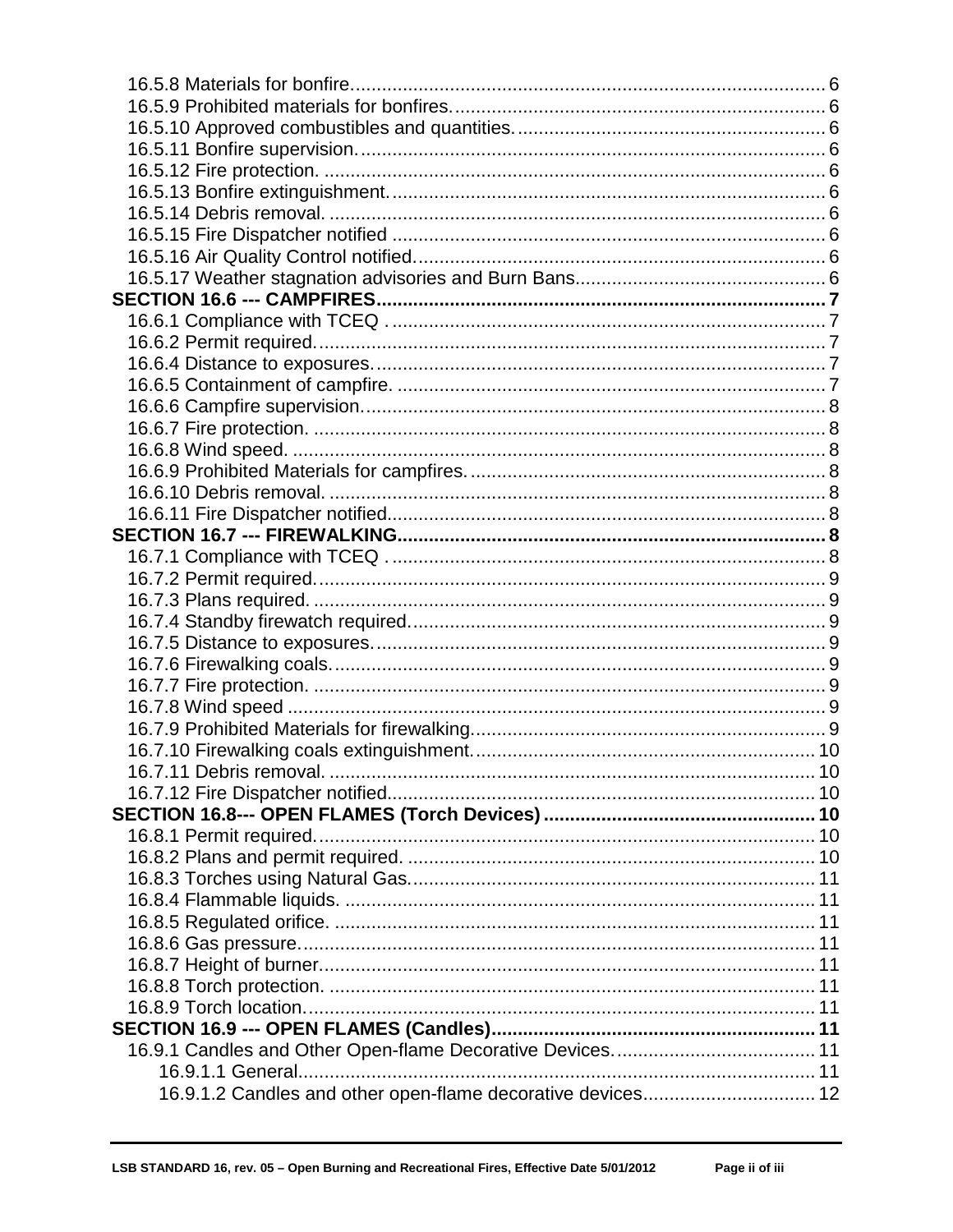| 16.9.1.2 Candles and other open-flame decorative devices 12 |  |
|-------------------------------------------------------------|--|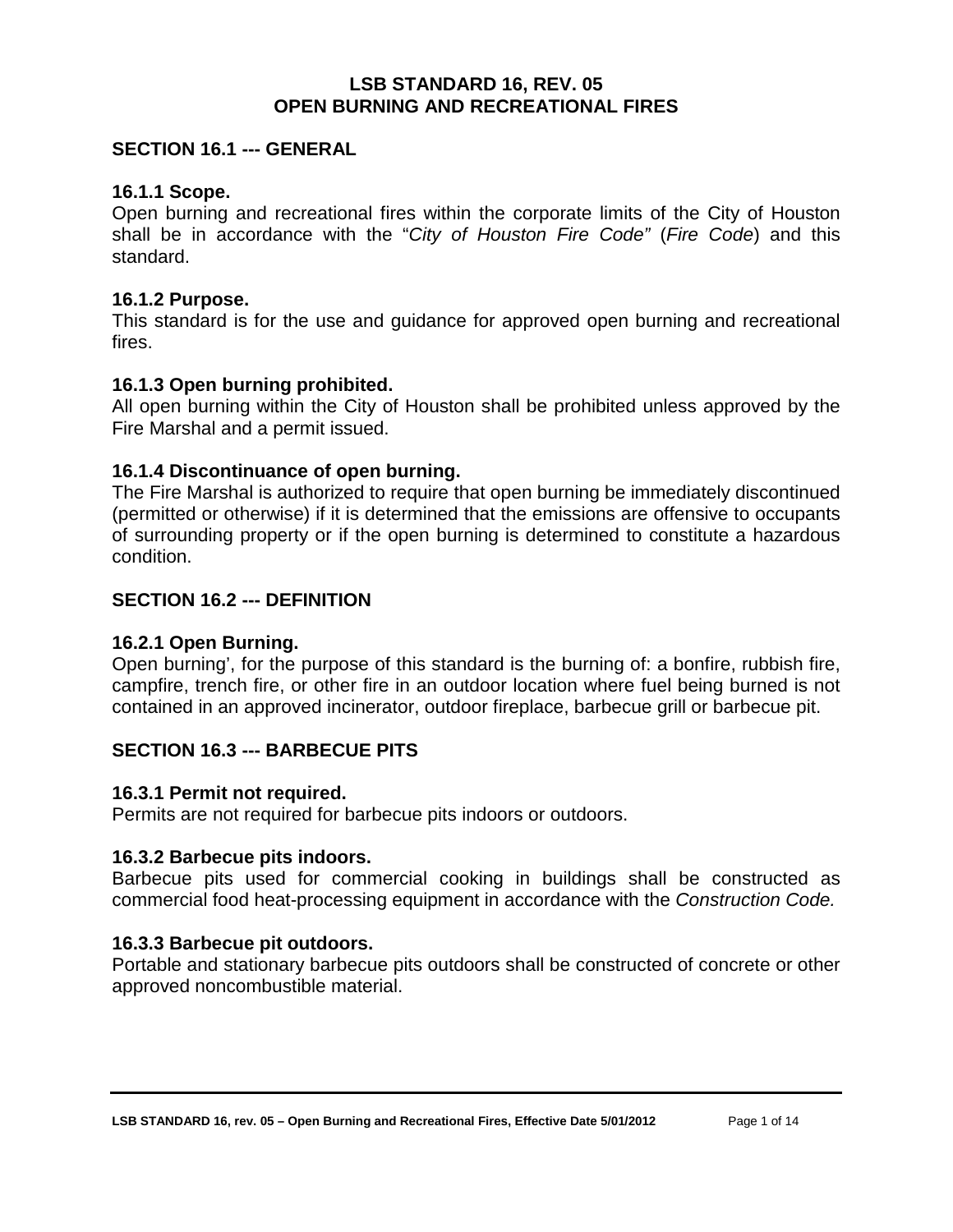#### **LSB STANDARD 16, REV. 05 OPEN BURNING AND RECREATIONAL FIRES**

#### <span id="page-4-0"></span>**SECTION 16.1 --- GENERAL**

#### <span id="page-4-1"></span>**16.1.1 Scope.**

Open burning and recreational fires within the corporate limits of the City of Houston shall be in accordance with the "*City of Houston Fire Code"* (*Fire Code*) and this standard.

#### <span id="page-4-2"></span>**16.1.2 Purpose.**

This standard is for the use and guidance for approved open burning and recreational fires.

#### <span id="page-4-3"></span>**16.1.3 Open burning prohibited.**

All open burning within the City of Houston shall be prohibited unless approved by the Fire Marshal and a permit issued.

#### <span id="page-4-4"></span>**16.1.4 Discontinuance of open burning.**

The Fire Marshal is authorized to require that open burning be immediately discontinued (permitted or otherwise) if it is determined that the emissions are offensive to occupants of surrounding property or if the open burning is determined to constitute a hazardous condition.

#### <span id="page-4-5"></span>**SECTION 16.2 --- DEFINITION**

#### <span id="page-4-6"></span>**16.2.1 Open Burning.**

Open burning', for the purpose of this standard is the burning of: a bonfire, rubbish fire, campfire, trench fire, or other fire in an outdoor location where fuel being burned is not contained in an approved incinerator, outdoor fireplace, barbecue grill or barbecue pit.

#### <span id="page-4-7"></span>**SECTION 16.3 --- BARBECUE PITS**

#### <span id="page-4-8"></span>**16.3.1 Permit not required.**

Permits are not required for barbecue pits indoors or outdoors.

#### <span id="page-4-9"></span>**16.3.2 Barbecue pits indoors.**

Barbecue pits used for commercial cooking in buildings shall be constructed as commercial food heat-processing equipment in accordance with the *Construction Code.*

#### <span id="page-4-10"></span>**16.3.3 Barbecue pit outdoors.**

Portable and stationary barbecue pits outdoors shall be constructed of concrete or other approved noncombustible material.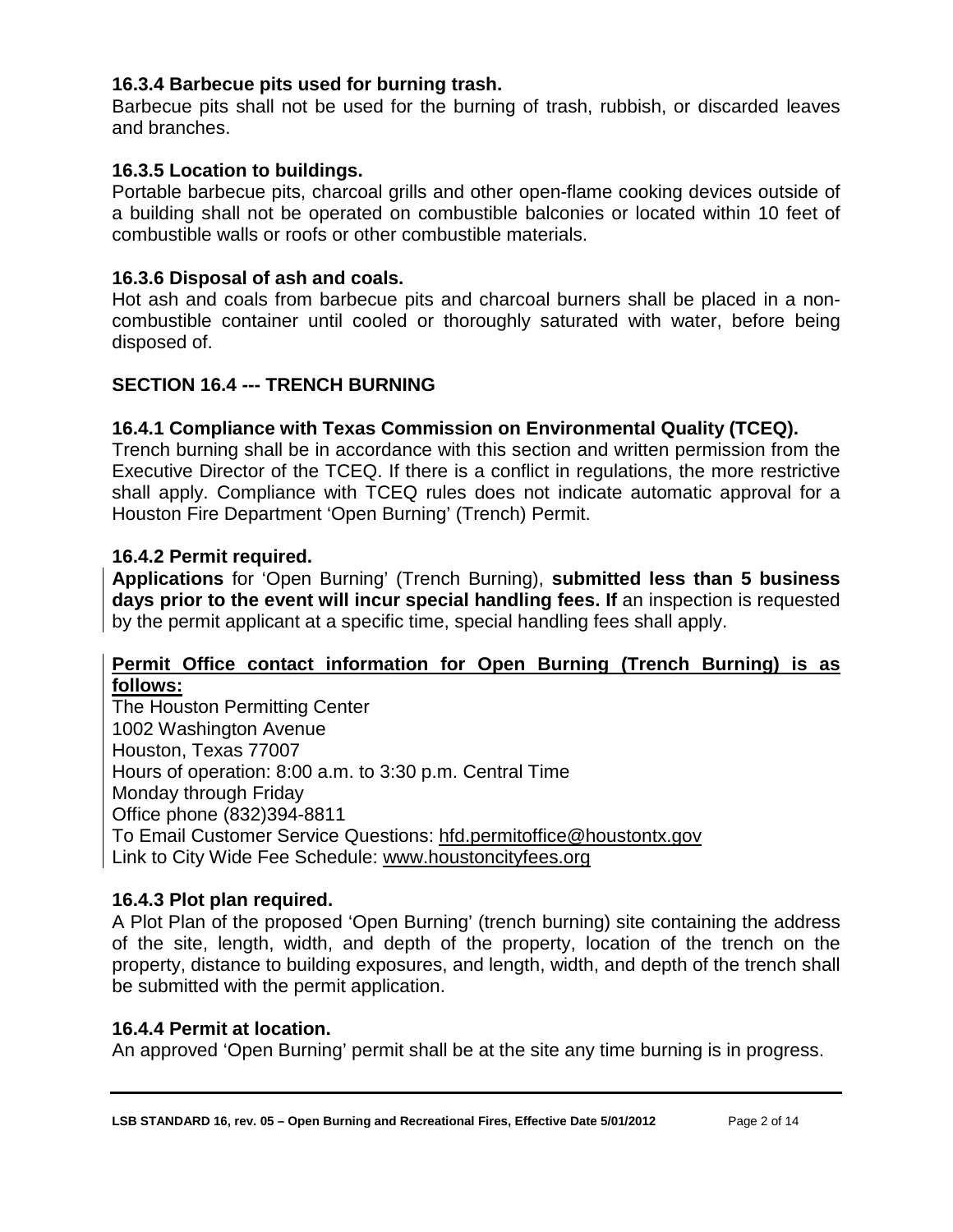## <span id="page-5-0"></span>**16.3.4 Barbecue pits used for burning trash.**

Barbecue pits shall not be used for the burning of trash, rubbish, or discarded leaves and branches.

## <span id="page-5-1"></span>**16.3.5 Location to buildings.**

Portable barbecue pits, charcoal grills and other open-flame cooking devices outside of a building shall not be operated on combustible balconies or located within 10 feet of combustible walls or roofs or other combustible materials.

## <span id="page-5-2"></span>**16.3.6 Disposal of ash and coals.**

Hot ash and coals from barbecue pits and charcoal burners shall be placed in a noncombustible container until cooled or thoroughly saturated with water, before being disposed of.

## <span id="page-5-3"></span>**SECTION 16.4 --- TRENCH BURNING**

## <span id="page-5-4"></span>**16.4.1 Compliance with Texas Commission on Environmental Quality (TCEQ).**

Trench burning shall be in accordance with this section and written permission from the Executive Director of the TCEQ. If there is a conflict in regulations, the more restrictive shall apply. Compliance with TCEQ rules does not indicate automatic approval for a Houston Fire Department 'Open Burning' (Trench) Permit.

#### <span id="page-5-5"></span>**16.4.2 Permit required.**

**Applications** for 'Open Burning' (Trench Burning), **submitted less than 5 business**  days prior to the event will incur special handling fees. If an inspection is requested by the permit applicant at a specific time, special handling fees shall apply.

#### **Permit Office contact information for Open Burning (Trench Burning) is as follows:**

The Houston Permitting Center 1002 Washington Avenue Houston, Texas 77007 Hours of operation: 8:00 a.m. to 3:30 p.m. Central Time Monday through Friday Office phone (832)394-8811 To Email Customer Service Questions: [hfd.permitoffice@houstontx.gov](mailto:hfd.permitoffice@houstontx.gov) Link to City Wide Fee Schedule: [www.houstoncityfees.org](http://www.houstoncityfees.org/)

#### <span id="page-5-6"></span>**16.4.3 Plot plan required.**

A Plot Plan of the proposed 'Open Burning' (trench burning) site containing the address of the site, length, width, and depth of the property, location of the trench on the property, distance to building exposures, and length, width, and depth of the trench shall be submitted with the permit application.

#### <span id="page-5-7"></span>**16.4.4 Permit at location.**

An approved 'Open Burning' permit shall be at the site any time burning is in progress.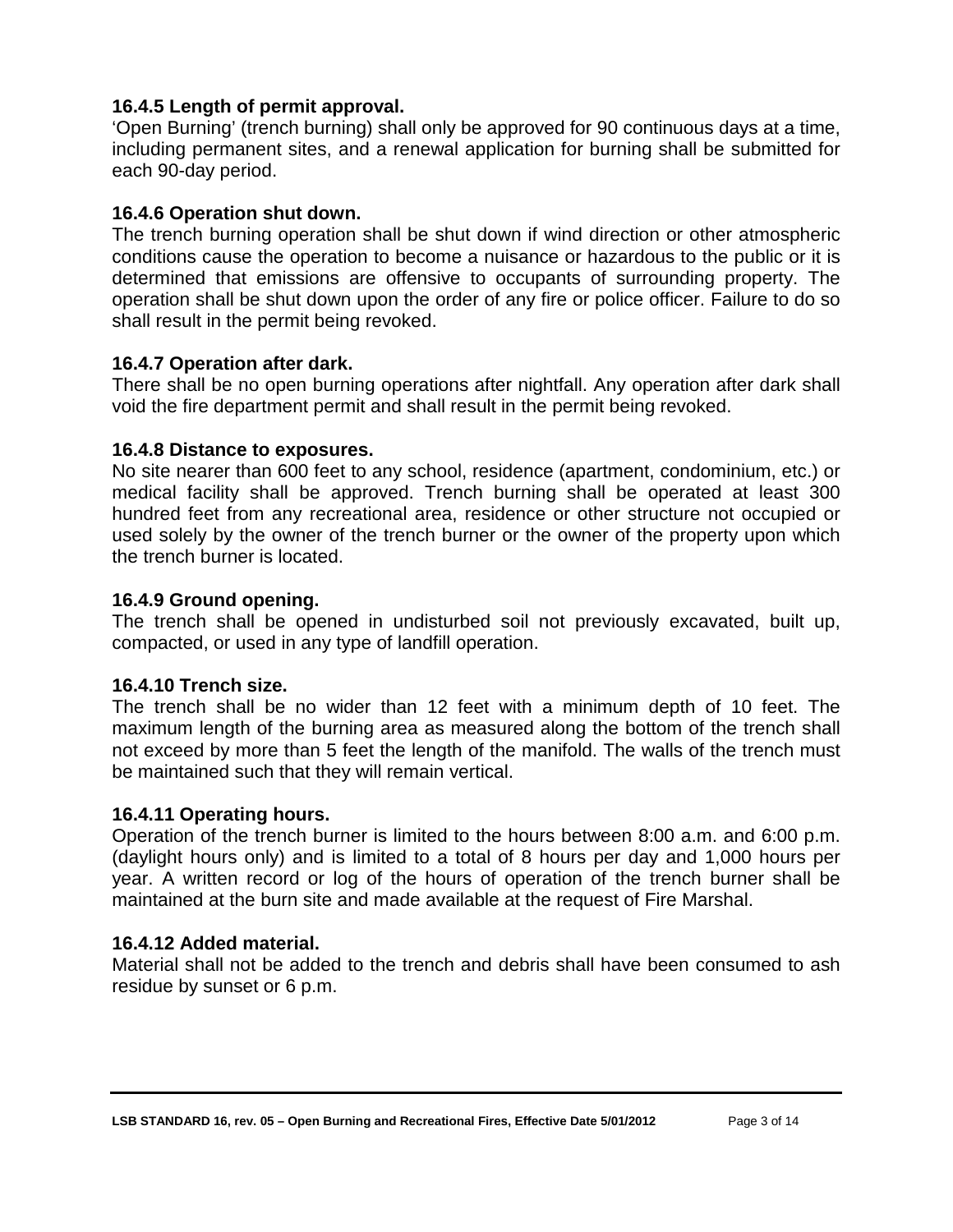## <span id="page-6-0"></span>**16.4.5 Length of permit approval.**

'Open Burning' (trench burning) shall only be approved for 90 continuous days at a time, including permanent sites, and a renewal application for burning shall be submitted for each 90-day period.

## <span id="page-6-1"></span>**16.4.6 Operation shut down.**

The trench burning operation shall be shut down if wind direction or other atmospheric conditions cause the operation to become a nuisance or hazardous to the public or it is determined that emissions are offensive to occupants of surrounding property. The operation shall be shut down upon the order of any fire or police officer. Failure to do so shall result in the permit being revoked.

## <span id="page-6-2"></span>**16.4.7 Operation after dark.**

There shall be no open burning operations after nightfall. Any operation after dark shall void the fire department permit and shall result in the permit being revoked.

#### <span id="page-6-3"></span>**16.4.8 Distance to exposures.**

No site nearer than 600 feet to any school, residence (apartment, condominium, etc.) or medical facility shall be approved. Trench burning shall be operated at least 300 hundred feet from any recreational area, residence or other structure not occupied or used solely by the owner of the trench burner or the owner of the property upon which the trench burner is located.

#### <span id="page-6-4"></span>**16.4.9 Ground opening.**

The trench shall be opened in undisturbed soil not previously excavated, built up, compacted, or used in any type of landfill operation.

#### <span id="page-6-5"></span>**16.4.10 Trench size.**

The trench shall be no wider than 12 feet with a minimum depth of 10 feet. The maximum length of the burning area as measured along the bottom of the trench shall not exceed by more than 5 feet the length of the manifold. The walls of the trench must be maintained such that they will remain vertical.

#### <span id="page-6-6"></span>**16.4.11 Operating hours.**

Operation of the trench burner is limited to the hours between 8:00 a.m. and 6:00 p.m. (daylight hours only) and is limited to a total of 8 hours per day and 1,000 hours per year. A written record or log of the hours of operation of the trench burner shall be maintained at the burn site and made available at the request of Fire Marshal.

#### <span id="page-6-7"></span>**16.4.12 Added material.**

Material shall not be added to the trench and debris shall have been consumed to ash residue by sunset or 6 p.m.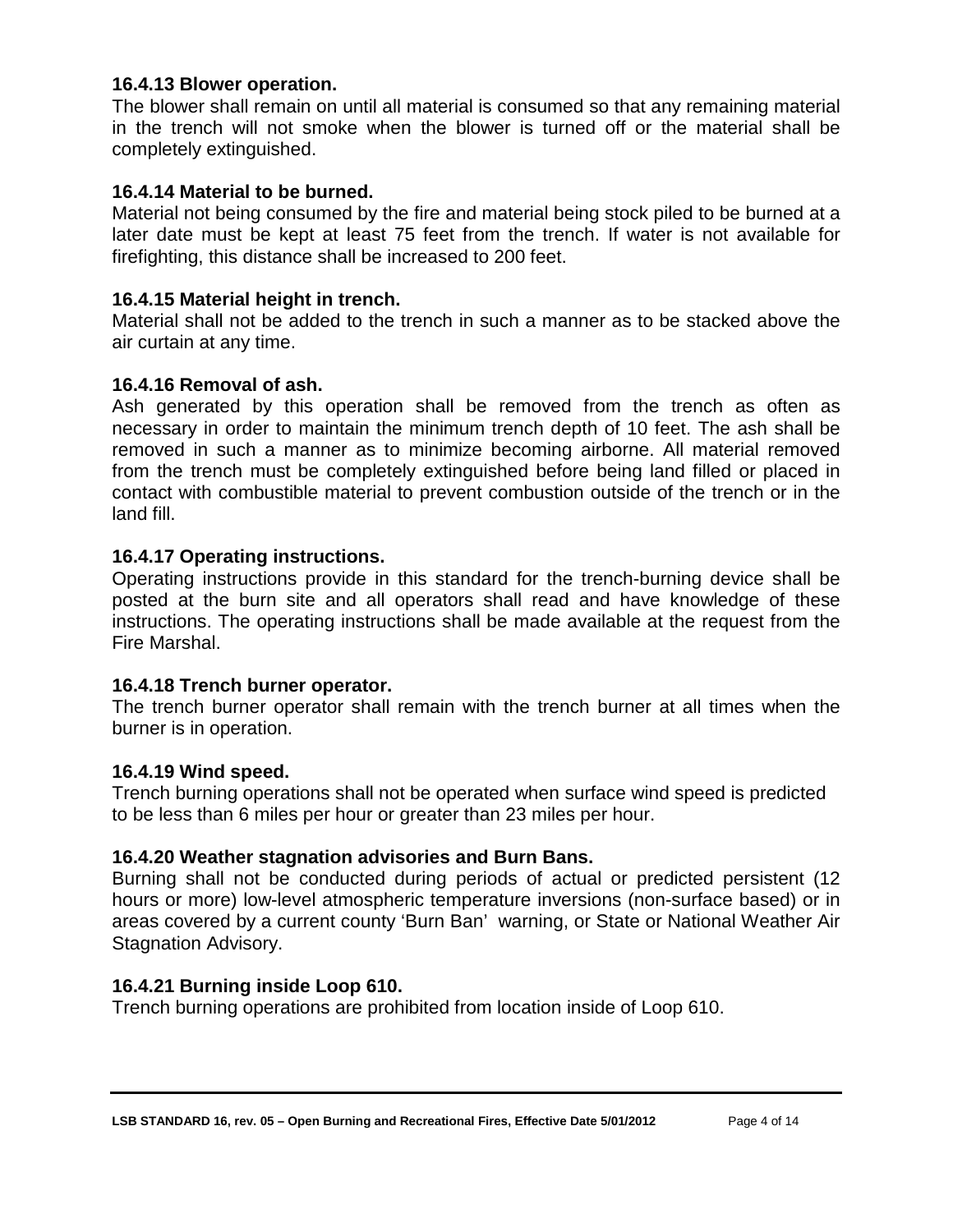#### <span id="page-7-0"></span>**16.4.13 Blower operation.**

The blower shall remain on until all material is consumed so that any remaining material in the trench will not smoke when the blower is turned off or the material shall be completely extinguished.

#### <span id="page-7-1"></span>**16.4.14 Material to be burned.**

Material not being consumed by the fire and material being stock piled to be burned at a later date must be kept at least 75 feet from the trench. If water is not available for firefighting, this distance shall be increased to 200 feet.

#### <span id="page-7-2"></span>**16.4.15 Material height in trench.**

Material shall not be added to the trench in such a manner as to be stacked above the air curtain at any time.

#### <span id="page-7-3"></span>**16.4.16 Removal of ash.**

Ash generated by this operation shall be removed from the trench as often as necessary in order to maintain the minimum trench depth of 10 feet. The ash shall be removed in such a manner as to minimize becoming airborne. All material removed from the trench must be completely extinguished before being land filled or placed in contact with combustible material to prevent combustion outside of the trench or in the land fill.

#### <span id="page-7-4"></span>**16.4.17 Operating instructions.**

Operating instructions provide in this standard for the trench-burning device shall be posted at the burn site and all operators shall read and have knowledge of these instructions. The operating instructions shall be made available at the request from the Fire Marshal.

#### <span id="page-7-5"></span>**16.4.18 Trench burner operator.**

The trench burner operator shall remain with the trench burner at all times when the burner is in operation.

#### <span id="page-7-6"></span>**16.4.19 Wind speed.**

Trench burning operations shall not be operated when surface wind speed is predicted to be less than 6 miles per hour or greater than 23 miles per hour.

#### <span id="page-7-7"></span>**16.4.20 Weather stagnation advisories and Burn Bans.**

Burning shall not be conducted during periods of actual or predicted persistent (12 hours or more) low-level atmospheric temperature inversions (non-surface based) or in areas covered by a current county 'Burn Ban' warning, or State or National Weather Air Stagnation Advisory.

#### <span id="page-7-8"></span>**16.4.21 Burning inside Loop 610.**

Trench burning operations are prohibited from location inside of Loop 610.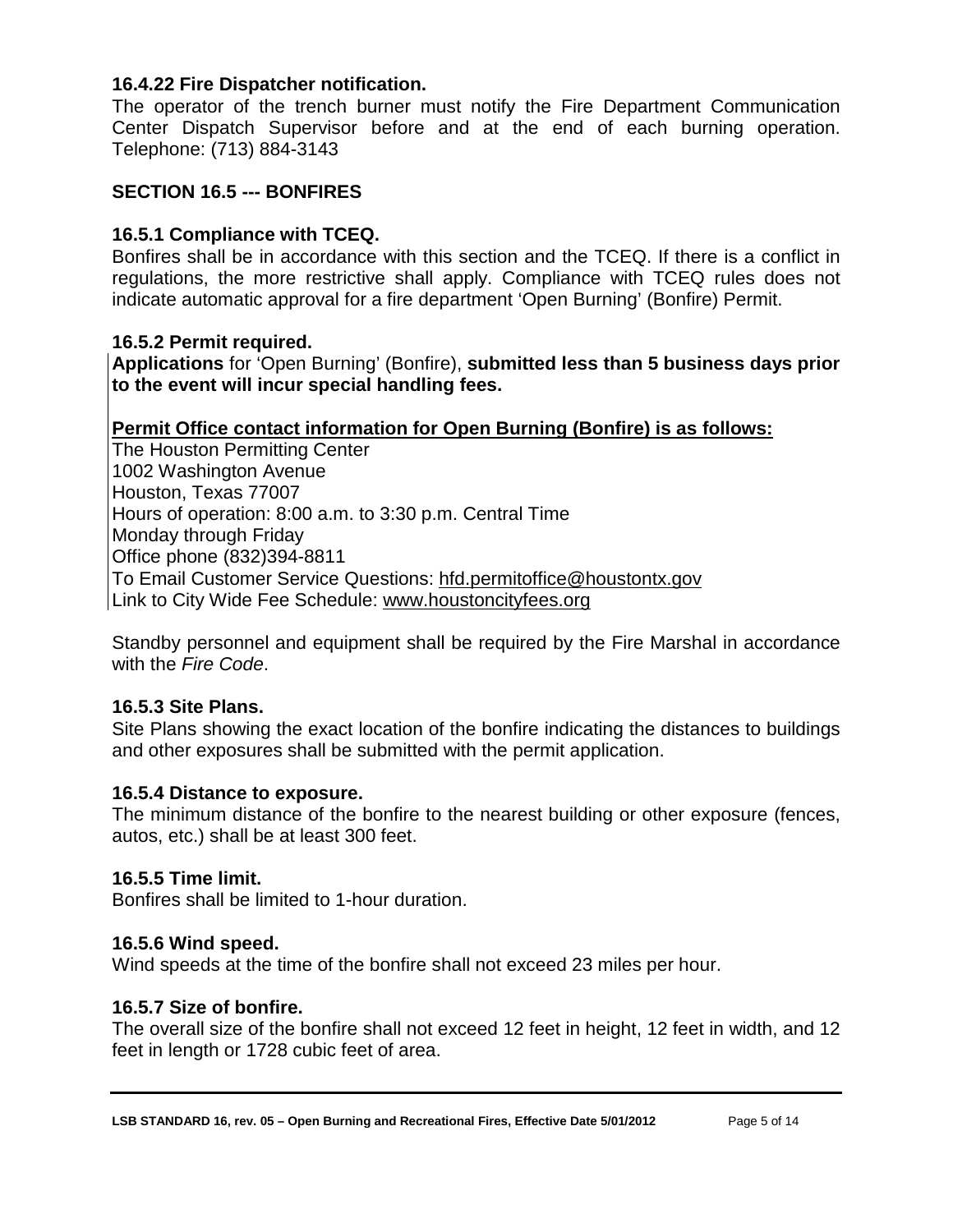#### <span id="page-8-0"></span>**16.4.22 Fire Dispatcher notification.**

The operator of the trench burner must notify the Fire Department Communication Center Dispatch Supervisor before and at the end of each burning operation. Telephone: (713) 884-3143

#### <span id="page-8-1"></span>**SECTION 16.5 --- BONFIRES**

#### <span id="page-8-2"></span>**16.5.1 Compliance with TCEQ.**

Bonfires shall be in accordance with this section and the TCEQ. If there is a conflict in regulations, the more restrictive shall apply. Compliance with TCEQ rules does not indicate automatic approval for a fire department 'Open Burning' (Bonfire) Permit.

#### <span id="page-8-3"></span>**16.5.2 Permit required.**

**Applications** for 'Open Burning' (Bonfire), **submitted less than 5 business days prior to the event will incur special handling fees.**

#### **Permit Office contact information for Open Burning (Bonfire) is as follows:**

The Houston Permitting Center 1002 Washington Avenue Houston, Texas 77007 Hours of operation: 8:00 a.m. to 3:30 p.m. Central Time Monday through Friday Office phone (832)394-8811 To Email Customer Service Questions: [hfd.permitoffice@houstontx.gov](mailto:hfd.permitoffice@houstontx.gov) Link to City Wide Fee Schedule: [www.houstoncityfees.org](http://www.houstoncityfees.org/)

Standby personnel and equipment shall be required by the Fire Marshal in accordance with the *Fire Code*.

#### <span id="page-8-4"></span>**16.5.3 Site Plans.**

Site Plans showing the exact location of the bonfire indicating the distances to buildings and other exposures shall be submitted with the permit application.

#### <span id="page-8-5"></span>**16.5.4 Distance to exposure.**

The minimum distance of the bonfire to the nearest building or other exposure (fences, autos, etc.) shall be at least 300 feet.

#### <span id="page-8-6"></span>**16.5.5 Time limit.**

Bonfires shall be limited to 1-hour duration.

#### <span id="page-8-7"></span>**16.5.6 Wind speed.**

Wind speeds at the time of the bonfire shall not exceed 23 miles per hour.

#### <span id="page-8-8"></span>**16.5.7 Size of bonfire.**

The overall size of the bonfire shall not exceed 12 feet in height, 12 feet in width, and 12 feet in length or 1728 cubic feet of area.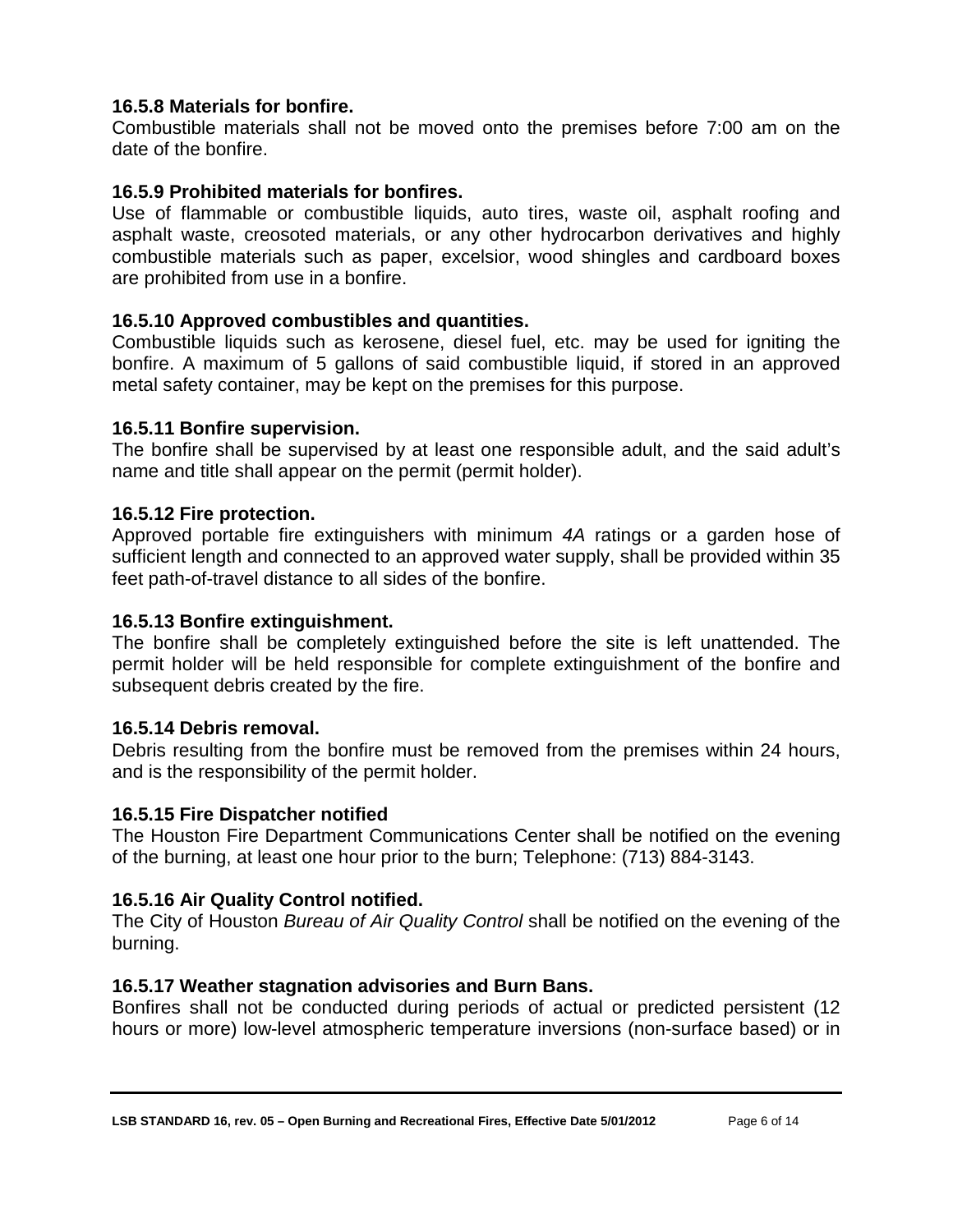## <span id="page-9-0"></span>**16.5.8 Materials for bonfire.**

Combustible materials shall not be moved onto the premises before 7:00 am on the date of the bonfire.

## <span id="page-9-1"></span>**16.5.9 Prohibited materials for bonfires.**

Use of flammable or combustible liquids, auto tires, waste oil, asphalt roofing and asphalt waste, creosoted materials, or any other hydrocarbon derivatives and highly combustible materials such as paper, excelsior, wood shingles and cardboard boxes are prohibited from use in a bonfire.

## <span id="page-9-2"></span>**16.5.10 Approved combustibles and quantities.**

Combustible liquids such as kerosene, diesel fuel, etc. may be used for igniting the bonfire. A maximum of 5 gallons of said combustible liquid, if stored in an approved metal safety container, may be kept on the premises for this purpose.

#### <span id="page-9-3"></span>**16.5.11 Bonfire supervision.**

The bonfire shall be supervised by at least one responsible adult, and the said adult's name and title shall appear on the permit (permit holder).

#### <span id="page-9-4"></span>**16.5.12 Fire protection.**

Approved portable fire extinguishers with minimum *4A* ratings or a garden hose of sufficient length and connected to an approved water supply, shall be provided within 35 feet path-of-travel distance to all sides of the bonfire.

#### <span id="page-9-5"></span>**16.5.13 Bonfire extinguishment.**

The bonfire shall be completely extinguished before the site is left unattended. The permit holder will be held responsible for complete extinguishment of the bonfire and subsequent debris created by the fire.

#### <span id="page-9-6"></span>**16.5.14 Debris removal.**

Debris resulting from the bonfire must be removed from the premises within 24 hours, and is the responsibility of the permit holder.

#### <span id="page-9-7"></span>**16.5.15 Fire Dispatcher notified**

The Houston Fire Department Communications Center shall be notified on the evening of the burning, at least one hour prior to the burn; Telephone: (713) 884-3143.

#### <span id="page-9-8"></span>**16.5.16 Air Quality Control notified.**

The City of Houston *Bureau of Air Quality Control* shall be notified on the evening of the burning.

#### <span id="page-9-9"></span>**16.5.17 Weather stagnation advisories and Burn Bans.**

Bonfires shall not be conducted during periods of actual or predicted persistent (12 hours or more) low-level atmospheric temperature inversions (non-surface based) or in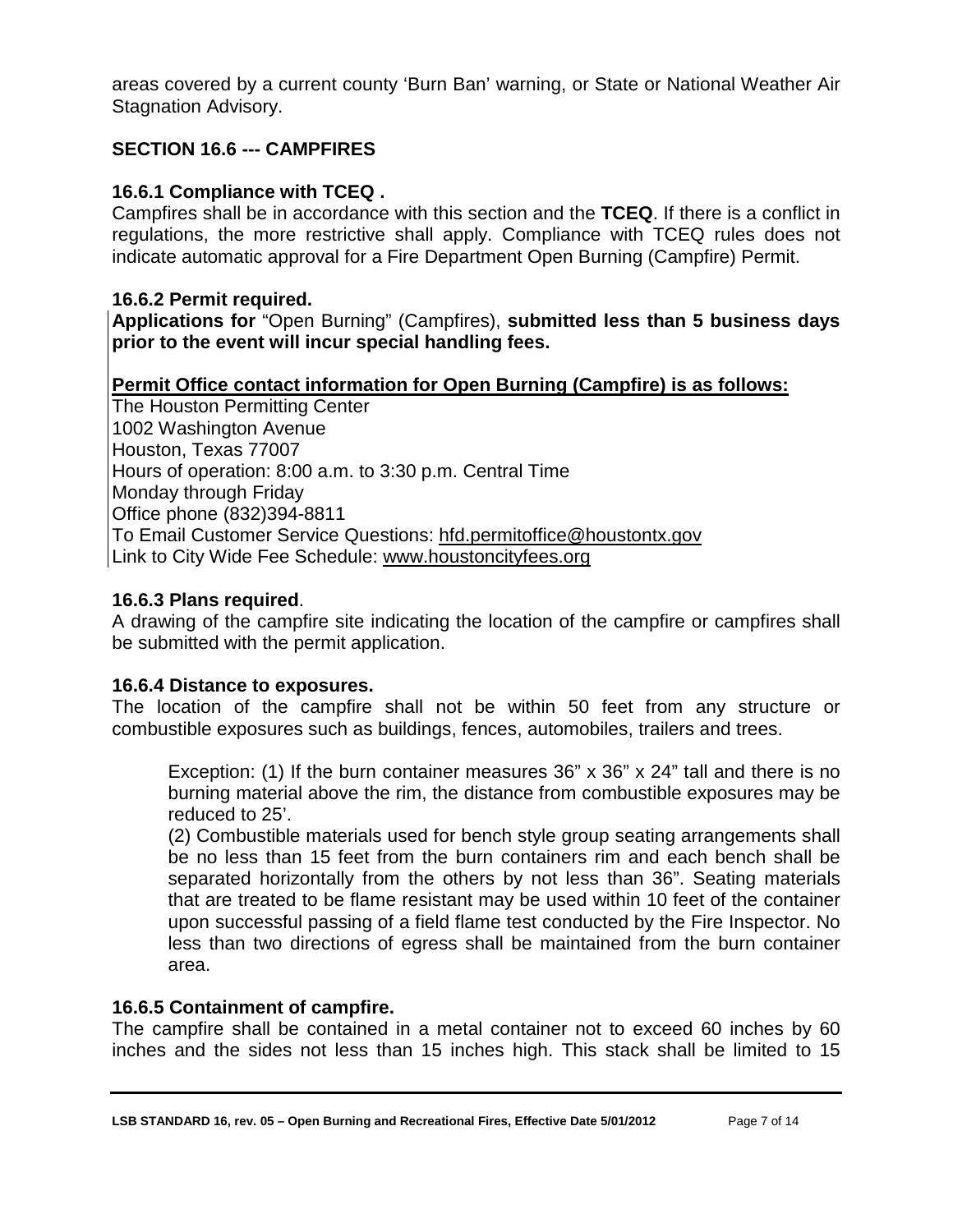areas covered by a current county 'Burn Ban' warning, or State or National Weather Air Stagnation Advisory.

## <span id="page-10-0"></span>**SECTION 16.6 --- CAMPFIRES**

## <span id="page-10-1"></span>**16.6.1 Compliance with TCEQ .**

Campfires shall be in accordance with this section and the **TCEQ**. If there is a conflict in regulations, the more restrictive shall apply. Compliance with TCEQ rules does not indicate automatic approval for a Fire Department Open Burning (Campfire) Permit.

## <span id="page-10-2"></span>**16.6.2 Permit required.**

**Applications for** "Open Burning" (Campfires), **submitted less than 5 business days prior to the event will incur special handling fees.**

## **Permit Office contact information for Open Burning (Campfire) is as follows:**

The Houston Permitting Center 1002 Washington Avenue Houston, Texas 77007 Hours of operation: 8:00 a.m. to 3:30 p.m. Central Time Monday through Friday Office phone (832)394-8811 To Email Customer Service Questions: [hfd.permitoffice@houstontx.gov](mailto:hfd.permitoffice@houstontx.gov) Link to City Wide Fee Schedule: [www.houstoncityfees.org](http://www.houstoncityfees.org/)

#### **16.6.3 Plans required**.

A drawing of the campfire site indicating the location of the campfire or campfires shall be submitted with the permit application.

#### <span id="page-10-3"></span>**16.6.4 Distance to exposures.**

The location of the campfire shall not be within 50 feet from any structure or combustible exposures such as buildings, fences, automobiles, trailers and trees.

Exception: (1) If the burn container measures 36" x 36" x 24" tall and there is no burning material above the rim, the distance from combustible exposures may be reduced to 25'.

(2) Combustible materials used for bench style group seating arrangements shall be no less than 15 feet from the burn containers rim and each bench shall be separated horizontally from the others by not less than 36". Seating materials that are treated to be flame resistant may be used within 10 feet of the container upon successful passing of a field flame test conducted by the Fire Inspector. No less than two directions of egress shall be maintained from the burn container area.

#### <span id="page-10-4"></span>**16.6.5 Containment of campfire.**

The campfire shall be contained in a metal container not to exceed 60 inches by 60 inches and the sides not less than 15 inches high. This stack shall be limited to 15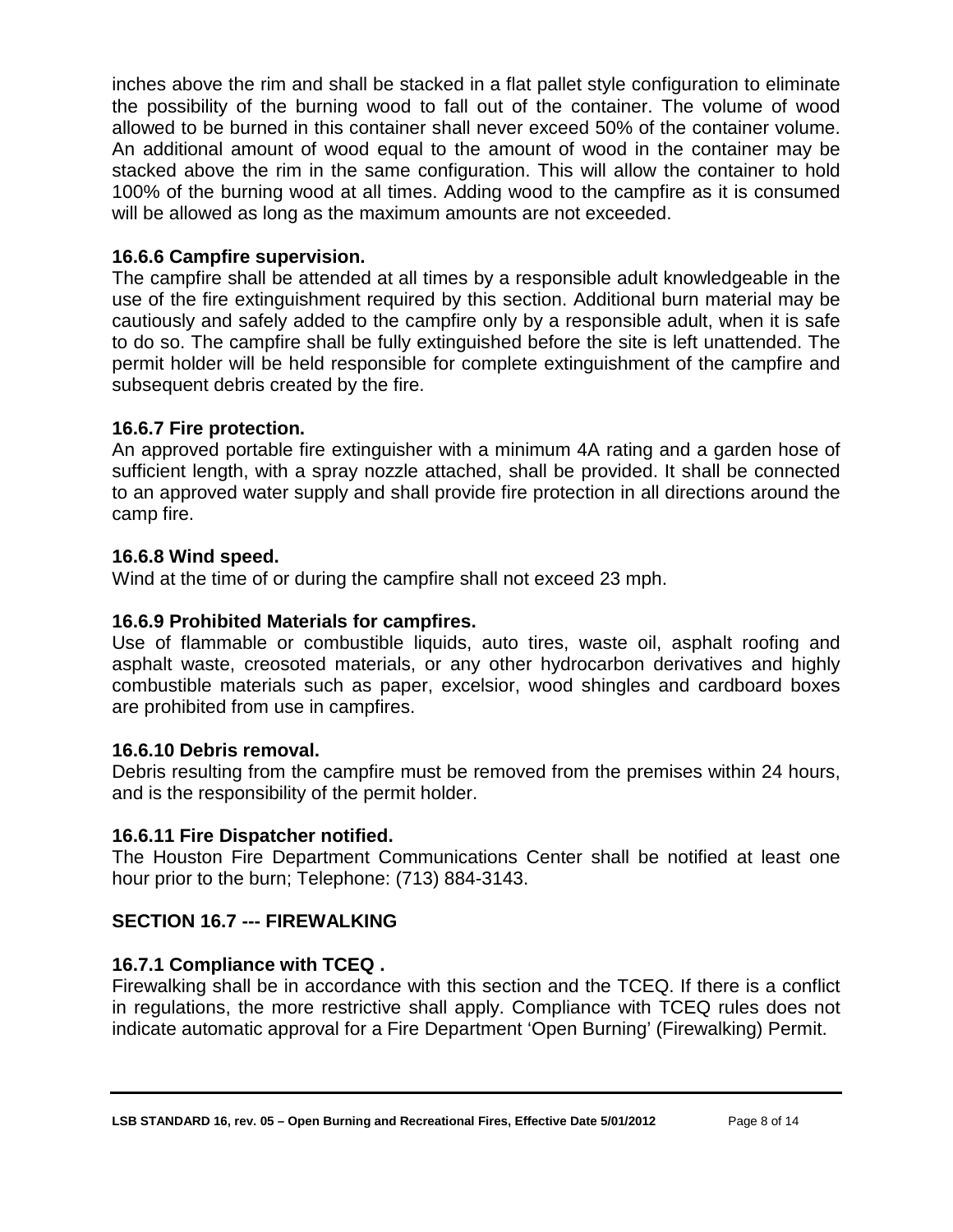inches above the rim and shall be stacked in a flat pallet style configuration to eliminate the possibility of the burning wood to fall out of the container. The volume of wood allowed to be burned in this container shall never exceed 50% of the container volume. An additional amount of wood equal to the amount of wood in the container may be stacked above the rim in the same configuration. This will allow the container to hold 100% of the burning wood at all times. Adding wood to the campfire as it is consumed will be allowed as long as the maximum amounts are not exceeded.

## <span id="page-11-0"></span>**16.6.6 Campfire supervision.**

The campfire shall be attended at all times by a responsible adult knowledgeable in the use of the fire extinguishment required by this section. Additional burn material may be cautiously and safely added to the campfire only by a responsible adult, when it is safe to do so. The campfire shall be fully extinguished before the site is left unattended. The permit holder will be held responsible for complete extinguishment of the campfire and subsequent debris created by the fire.

## <span id="page-11-1"></span>**16.6.7 Fire protection.**

An approved portable fire extinguisher with a minimum 4A rating and a garden hose of sufficient length, with a spray nozzle attached, shall be provided. It shall be connected to an approved water supply and shall provide fire protection in all directions around the camp fire.

## <span id="page-11-2"></span>**16.6.8 Wind speed.**

Wind at the time of or during the campfire shall not exceed 23 mph.

## <span id="page-11-3"></span>**16.6.9 Prohibited Materials for campfires.**

Use of flammable or combustible liquids, auto tires, waste oil, asphalt roofing and asphalt waste, creosoted materials, or any other hydrocarbon derivatives and highly combustible materials such as paper, excelsior, wood shingles and cardboard boxes are prohibited from use in campfires.

#### <span id="page-11-4"></span>**16.6.10 Debris removal.**

Debris resulting from the campfire must be removed from the premises within 24 hours, and is the responsibility of the permit holder.

#### <span id="page-11-5"></span>**16.6.11 Fire Dispatcher notified.**

The Houston Fire Department Communications Center shall be notified at least one hour prior to the burn; Telephone: (713) 884-3143.

## <span id="page-11-6"></span>**SECTION 16.7 --- FIREWALKING**

## <span id="page-11-7"></span>**16.7.1 Compliance with TCEQ .**

Firewalking shall be in accordance with this section and the TCEQ. If there is a conflict in regulations, the more restrictive shall apply. Compliance with TCEQ rules does not indicate automatic approval for a Fire Department 'Open Burning' (Firewalking) Permit.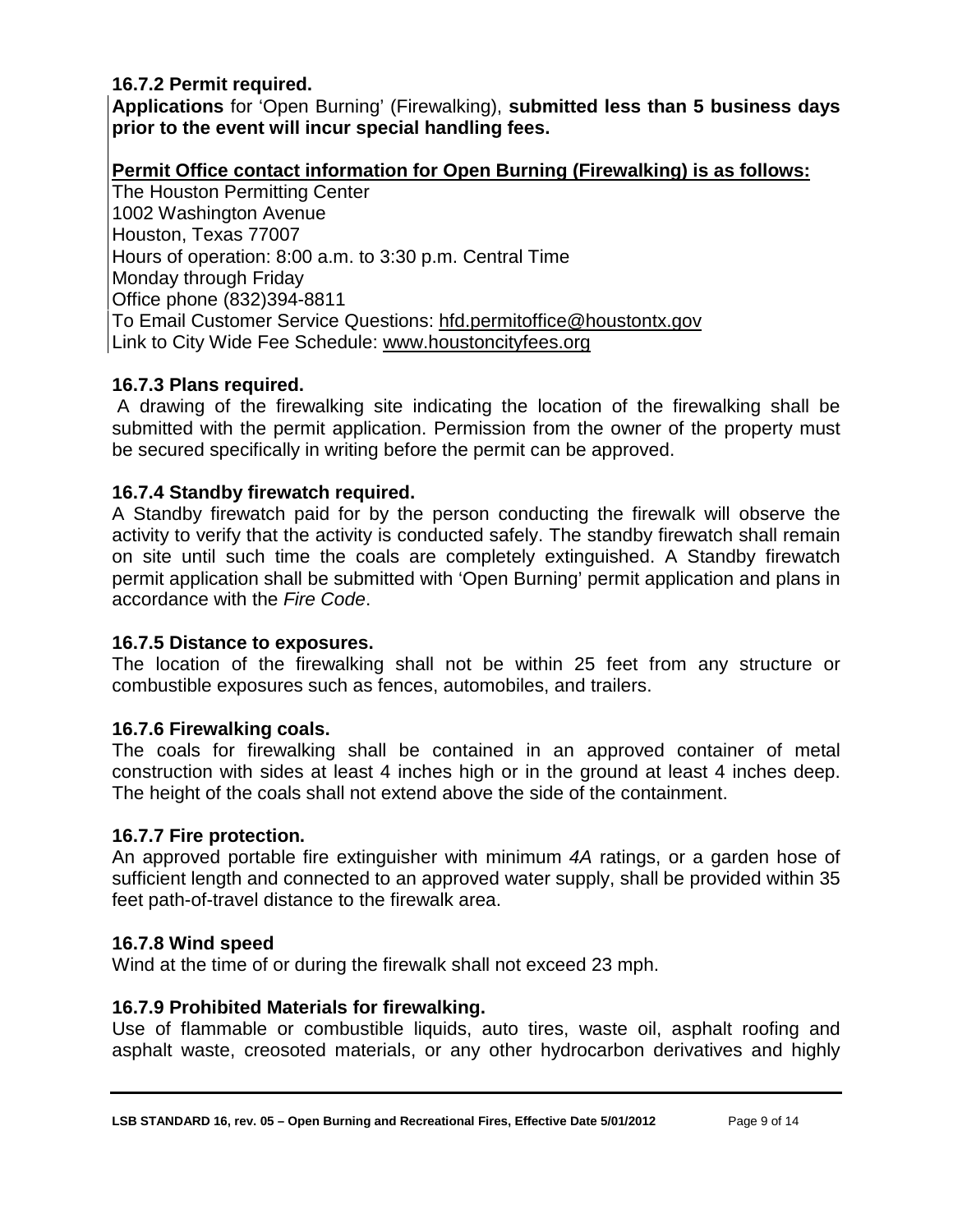## <span id="page-12-0"></span>**16.7.2 Permit required.**

**Applications** for 'Open Burning' (Firewalking), **submitted less than 5 business days prior to the event will incur special handling fees.**

## **Permit Office contact information for Open Burning (Firewalking) is as follows:**

The Houston Permitting Center 1002 Washington Avenue Houston, Texas 77007 Hours of operation: 8:00 a.m. to 3:30 p.m. Central Time Monday through Friday Office phone (832)394-8811 To Email Customer Service Questions: [hfd.permitoffice@houstontx.gov](mailto:hfd.permitoffice@houstontx.gov) Link to City Wide Fee Schedule: [www.houstoncityfees.org](http://www.houstoncityfees.org/)

#### <span id="page-12-1"></span>**16.7.3 Plans required.**

A drawing of the firewalking site indicating the location of the firewalking shall be submitted with the permit application. Permission from the owner of the property must be secured specifically in writing before the permit can be approved.

## <span id="page-12-2"></span>**16.7.4 Standby firewatch required.**

A Standby firewatch paid for by the person conducting the firewalk will observe the activity to verify that the activity is conducted safely. The standby firewatch shall remain on site until such time the coals are completely extinguished. A Standby firewatch permit application shall be submitted with 'Open Burning' permit application and plans in accordance with the *Fire Code*.

#### <span id="page-12-3"></span>**16.7.5 Distance to exposures.**

The location of the firewalking shall not be within 25 feet from any structure or combustible exposures such as fences, automobiles, and trailers.

#### <span id="page-12-4"></span>**16.7.6 Firewalking coals.**

The coals for firewalking shall be contained in an approved container of metal construction with sides at least 4 inches high or in the ground at least 4 inches deep. The height of the coals shall not extend above the side of the containment.

#### <span id="page-12-5"></span>**16.7.7 Fire protection.**

An approved portable fire extinguisher with minimum *4A* ratings, or a garden hose of sufficient length and connected to an approved water supply, shall be provided within 35 feet path-of-travel distance to the firewalk area.

#### <span id="page-12-6"></span>**16.7.8 Wind speed**

Wind at the time of or during the firewalk shall not exceed 23 mph.

#### <span id="page-12-7"></span>**16.7.9 Prohibited Materials for firewalking.**

Use of flammable or combustible liquids, auto tires, waste oil, asphalt roofing and asphalt waste, creosoted materials, or any other hydrocarbon derivatives and highly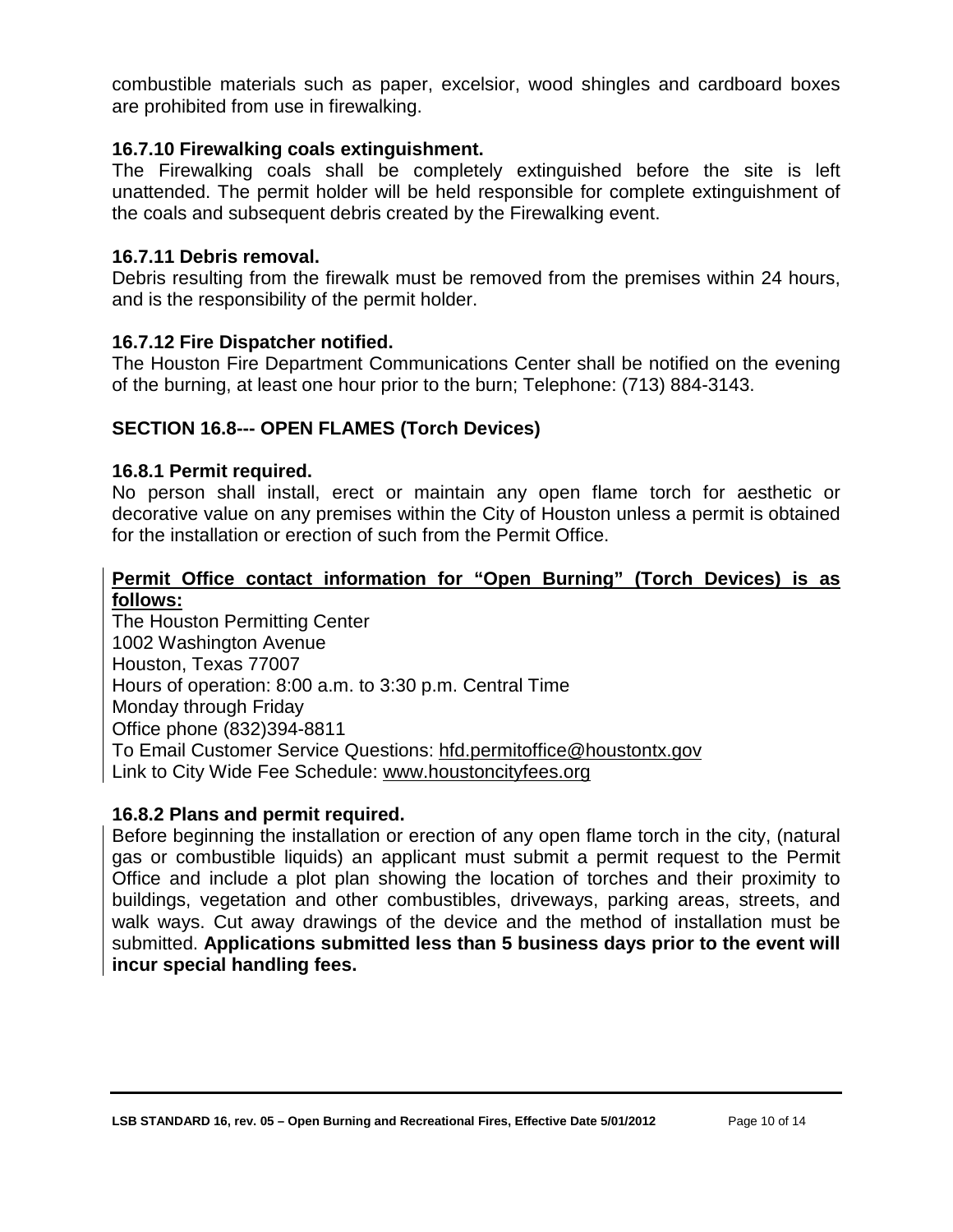combustible materials such as paper, excelsior, wood shingles and cardboard boxes are prohibited from use in firewalking.

## <span id="page-13-0"></span>**16.7.10 Firewalking coals extinguishment.**

The Firewalking coals shall be completely extinguished before the site is left unattended. The permit holder will be held responsible for complete extinguishment of the coals and subsequent debris created by the Firewalking event.

#### <span id="page-13-1"></span>**16.7.11 Debris removal.**

Debris resulting from the firewalk must be removed from the premises within 24 hours, and is the responsibility of the permit holder.

## <span id="page-13-2"></span>**16.7.12 Fire Dispatcher notified.**

The Houston Fire Department Communications Center shall be notified on the evening of the burning, at least one hour prior to the burn; Telephone: (713) 884-3143.

## <span id="page-13-3"></span>**SECTION 16.8--- OPEN FLAMES (Torch Devices)**

#### <span id="page-13-4"></span>**16.8.1 Permit required.**

No person shall install, erect or maintain any open flame torch for aesthetic or decorative value on any premises within the City of Houston unless a permit is obtained for the installation or erection of such from the Permit Office.

## **Permit Office contact information for "Open Burning" (Torch Devices) is as follows:**

The Houston Permitting Center 1002 Washington Avenue Houston, Texas 77007 Hours of operation: 8:00 a.m. to 3:30 p.m. Central Time Monday through Friday Office phone (832)394-8811 To Email Customer Service Questions: [hfd.permitoffice@houstontx.gov](mailto:hfd.permitoffice@houstontx.gov) Link to City Wide Fee Schedule: [www.houstoncityfees.org](http://www.houstoncityfees.org/)

#### <span id="page-13-5"></span>**16.8.2 Plans and permit required.**

Before beginning the installation or erection of any open flame torch in the city, (natural gas or combustible liquids) an applicant must submit a permit request to the Permit Office and include a plot plan showing the location of torches and their proximity to buildings, vegetation and other combustibles, driveways, parking areas, streets, and walk ways. Cut away drawings of the device and the method of installation must be submitted. **Applications submitted less than 5 business days prior to the event will incur special handling fees.**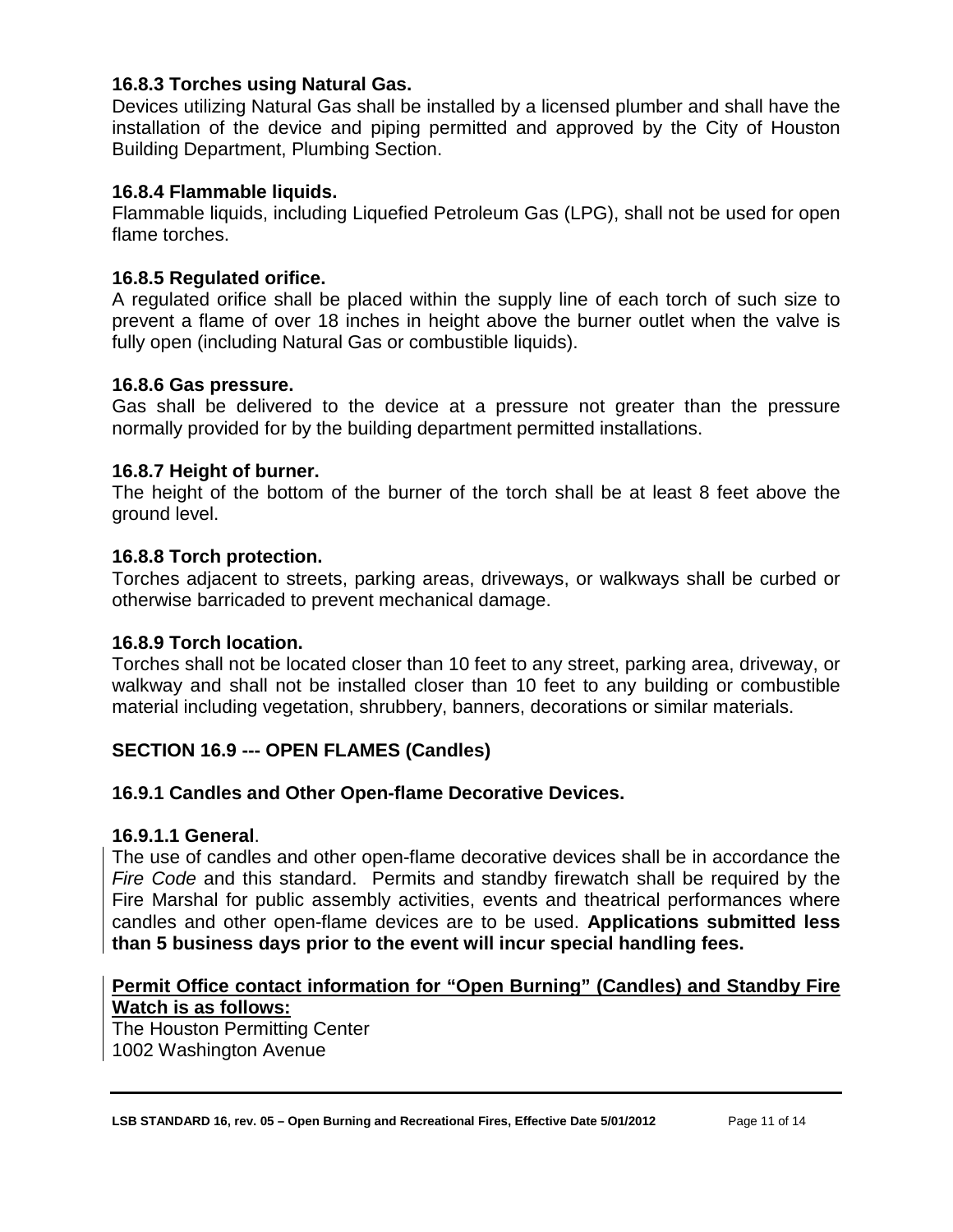## <span id="page-14-0"></span>**16.8.3 Torches using Natural Gas.**

Devices utilizing Natural Gas shall be installed by a licensed plumber and shall have the installation of the device and piping permitted and approved by the City of Houston Building Department, Plumbing Section.

## <span id="page-14-1"></span>**16.8.4 Flammable liquids.**

Flammable liquids, including Liquefied Petroleum Gas (LPG), shall not be used for open flame torches.

## <span id="page-14-2"></span>**16.8.5 Regulated orifice.**

A regulated orifice shall be placed within the supply line of each torch of such size to prevent a flame of over 18 inches in height above the burner outlet when the valve is fully open (including Natural Gas or combustible liquids).

#### <span id="page-14-3"></span>**16.8.6 Gas pressure.**

Gas shall be delivered to the device at a pressure not greater than the pressure normally provided for by the building department permitted installations.

## <span id="page-14-4"></span>**16.8.7 Height of burner.**

The height of the bottom of the burner of the torch shall be at least 8 feet above the ground level.

## <span id="page-14-5"></span>**16.8.8 Torch protection.**

Torches adjacent to streets, parking areas, driveways, or walkways shall be curbed or otherwise barricaded to prevent mechanical damage.

#### <span id="page-14-6"></span>**16.8.9 Torch location.**

Torches shall not be located closer than 10 feet to any street, parking area, driveway, or walkway and shall not be installed closer than 10 feet to any building or combustible material including vegetation, shrubbery, banners, decorations or similar materials.

## <span id="page-14-7"></span>**SECTION 16.9 --- OPEN FLAMES (Candles)**

#### <span id="page-14-8"></span>**16.9.1 Candles and Other Open-flame Decorative Devices.**

#### <span id="page-14-9"></span>**16.9.1.1 General**.

The use of candles and other open-flame decorative devices shall be in accordance the *Fire Code* and this standard. Permits and standby firewatch shall be required by the Fire Marshal for public assembly activities, events and theatrical performances where candles and other open-flame devices are to be used. **Applications submitted less than 5 business days prior to the event will incur special handling fees.**

## **Permit Office contact information for "Open Burning" (Candles) and Standby Fire Watch is as follows:**

The Houston Permitting Center 1002 Washington Avenue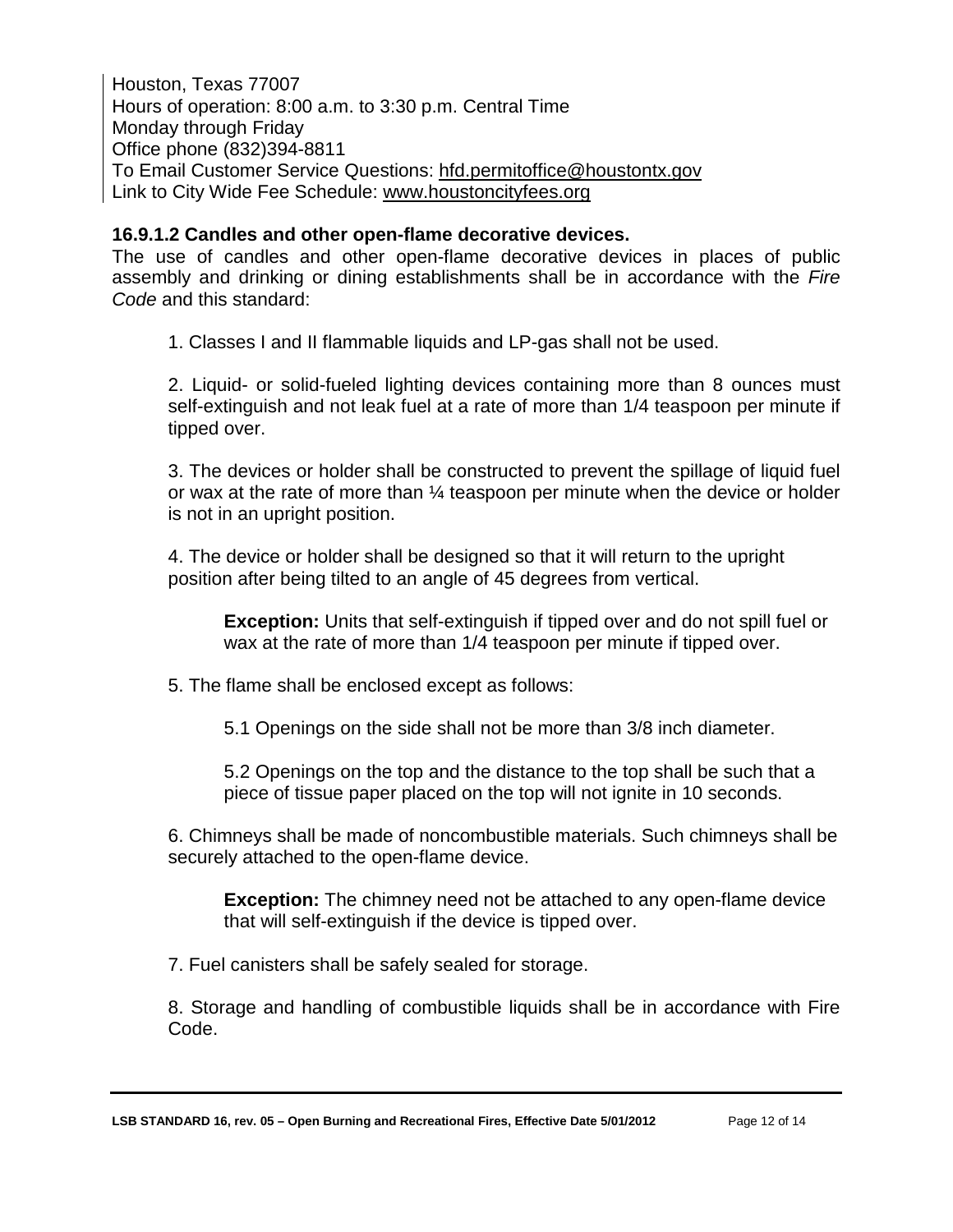Houston, Texas 77007 Hours of operation: 8:00 a.m. to 3:30 p.m. Central Time Monday through Friday Office phone (832)394-8811 To Email Customer Service Questions: [hfd.permitoffice@houstontx.gov](mailto:hfd.permitoffice@houstontx.gov) Link to City Wide Fee Schedule: [www.houstoncityfees.org](http://www.houstoncityfees.org/)

#### <span id="page-15-0"></span>**16.9.1.2 Candles and other open-flame decorative devices.**

The use of candles and other open-flame decorative devices in places of public assembly and drinking or dining establishments shall be in accordance with the *Fire Code* and this standard:

1. Classes I and II flammable liquids and LP-gas shall not be used.

2. Liquid- or solid-fueled lighting devices containing more than 8 ounces must self-extinguish and not leak fuel at a rate of more than 1/4 teaspoon per minute if tipped over.

3. The devices or holder shall be constructed to prevent the spillage of liquid fuel or wax at the rate of more than ¼ teaspoon per minute when the device or holder is not in an upright position.

4. The device or holder shall be designed so that it will return to the upright position after being tilted to an angle of 45 degrees from vertical.

**Exception:** Units that self-extinguish if tipped over and do not spill fuel or wax at the rate of more than 1/4 teaspoon per minute if tipped over.

5. The flame shall be enclosed except as follows:

5.1 Openings on the side shall not be more than 3/8 inch diameter.

5.2 Openings on the top and the distance to the top shall be such that a piece of tissue paper placed on the top will not ignite in 10 seconds.

6. Chimneys shall be made of noncombustible materials. Such chimneys shall be securely attached to the open-flame device.

**Exception:** The chimney need not be attached to any open-flame device that will self-extinguish if the device is tipped over.

7. Fuel canisters shall be safely sealed for storage.

8. Storage and handling of combustible liquids shall be in accordance with Fire Code.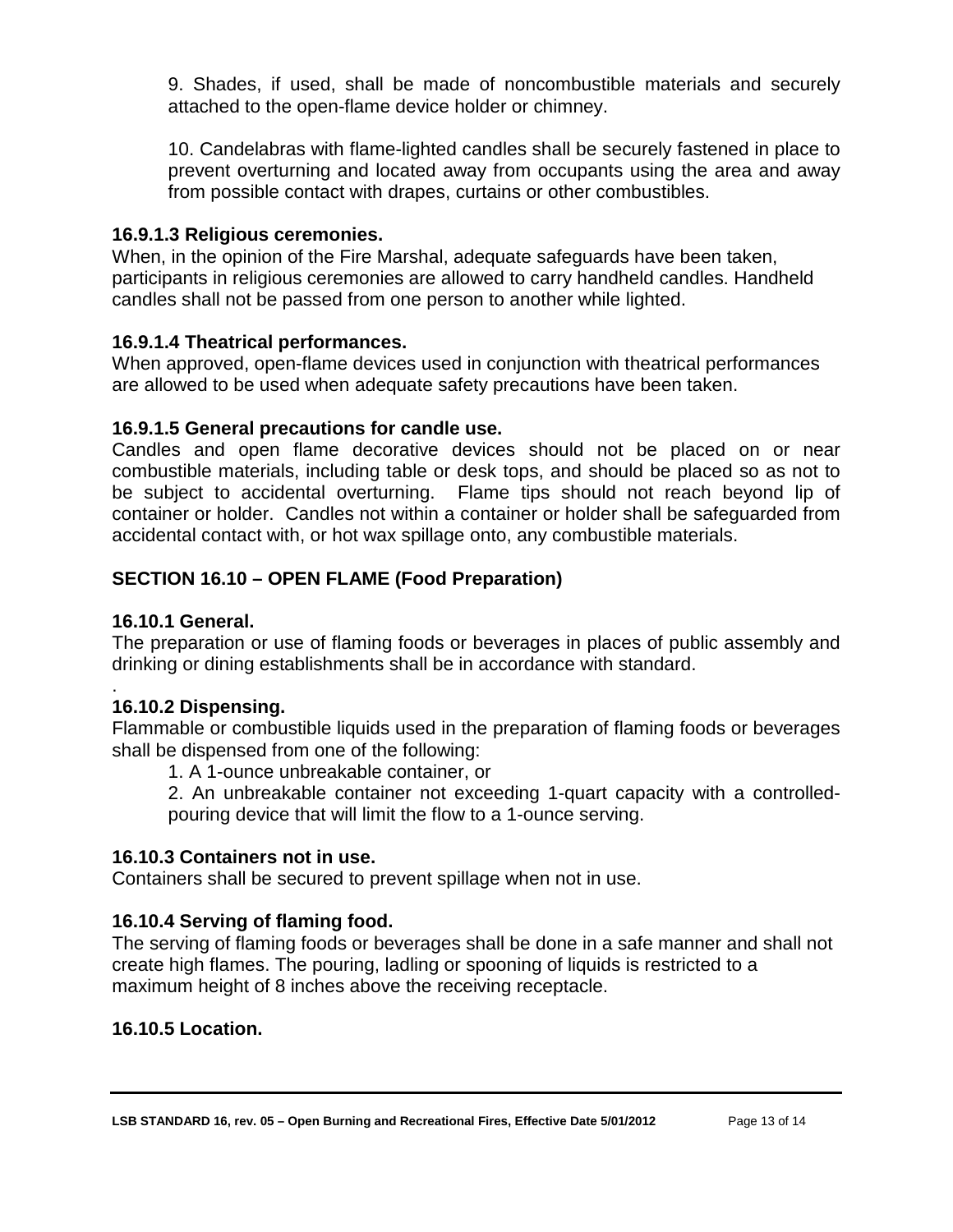9. Shades, if used, shall be made of noncombustible materials and securely attached to the open-flame device holder or chimney.

10. Candelabras with flame-lighted candles shall be securely fastened in place to prevent overturning and located away from occupants using the area and away from possible contact with drapes, curtains or other combustibles.

#### <span id="page-16-0"></span>**16.9.1.3 Religious ceremonies.**

When, in the opinion of the Fire Marshal, adequate safeguards have been taken, participants in religious ceremonies are allowed to carry handheld candles. Handheld candles shall not be passed from one person to another while lighted.

## <span id="page-16-1"></span>**16.9.1.4 Theatrical performances.**

When approved, open-flame devices used in conjunction with theatrical performances are allowed to be used when adequate safety precautions have been taken.

## <span id="page-16-2"></span>**16.9.1.5 General precautions for candle use.**

Candles and open flame decorative devices should not be placed on or near combustible materials, including table or desk tops, and should be placed so as not to be subject to accidental overturning. Flame tips should not reach beyond lip of container or holder. Candles not within a container or holder shall be safeguarded from accidental contact with, or hot wax spillage onto, any combustible materials.

## <span id="page-16-3"></span>**SECTION 16.10 – OPEN FLAME (Food Preparation)**

## <span id="page-16-4"></span>**16.10.1 General.**

The preparation or use of flaming foods or beverages in places of public assembly and drinking or dining establishments shall be in accordance with standard.

#### <span id="page-16-5"></span>. **16.10.2 Dispensing.**

Flammable or combustible liquids used in the preparation of flaming foods or beverages shall be dispensed from one of the following:

1. A 1-ounce unbreakable container, or

2. An unbreakable container not exceeding 1-quart capacity with a controlledpouring device that will limit the flow to a 1-ounce serving.

#### <span id="page-16-6"></span>**16.10.3 Containers not in use.**

Containers shall be secured to prevent spillage when not in use.

#### <span id="page-16-7"></span>**16.10.4 Serving of flaming food.**

The serving of flaming foods or beverages shall be done in a safe manner and shall not create high flames. The pouring, ladling or spooning of liquids is restricted to a maximum height of 8 inches above the receiving receptacle.

#### <span id="page-16-8"></span>**16.10.5 Location.**